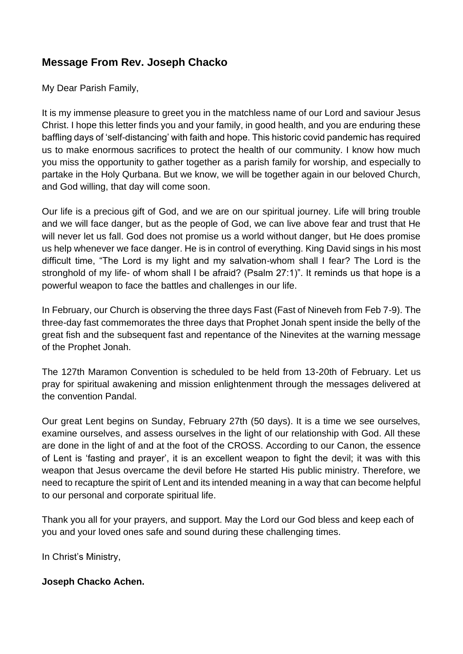## **Message From Rev. Joseph Chacko**

My Dear Parish Family,

It is my immense pleasure to greet you in the matchless name of our Lord and saviour Jesus Christ. I hope this letter finds you and your family, in good health, and you are enduring these baffling days of 'self-distancing' with faith and hope. This historic covid pandemic has required us to make enormous sacrifices to protect the health of our community. I know how much you miss the opportunity to gather together as a parish family for worship, and especially to partake in the Holy Qurbana. But we know, we will be together again in our beloved Church, and God willing, that day will come soon.

Our life is a precious gift of God, and we are on our spiritual journey. Life will bring trouble and we will face danger, but as the people of God, we can live above fear and trust that He will never let us fall. God does not promise us a world without danger, but He does promise us help whenever we face danger. He is in control of everything. King David sings in his most difficult time, "The Lord is my light and my salvation-whom shall I fear? The Lord is the stronghold of my life- of whom shall I be afraid? (Psalm 27:1)". It reminds us that hope is a powerful weapon to face the battles and challenges in our life.

In February, our Church is observing the three days Fast (Fast of Nineveh from Feb 7-9). The three-day fast commemorates the three days that Prophet Jonah spent inside the belly of the great fish and the subsequent fast and repentance of the Ninevites at the warning message of the Prophet Jonah.

The 127th Maramon Convention is scheduled to be held from 13-20th of February. Let us pray for spiritual awakening and mission enlightenment through the messages delivered at the convention Pandal.

Our great Lent begins on Sunday, February 27th (50 days). It is a time we see ourselves, examine ourselves, and assess ourselves in the light of our relationship with God. All these are done in the light of and at the foot of the CROSS. According to our Canon, the essence of Lent is 'fasting and prayer', it is an excellent weapon to fight the devil; it was with this weapon that Jesus overcame the devil before He started His public ministry. Therefore, we need to recapture the spirit of Lent and its intended meaning in a way that can become helpful to our personal and corporate spiritual life.

Thank you all for your prayers, and support. May the Lord our God bless and keep each of you and your loved ones safe and sound during these challenging times.

In Christ's Ministry,

#### **Joseph Chacko Achen.**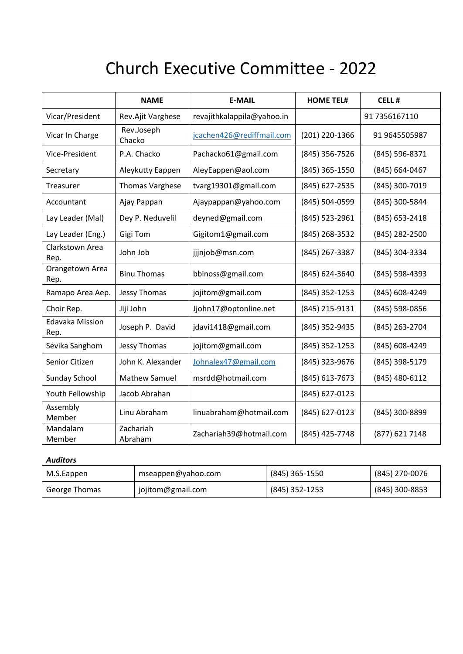# Church Executive Committee - 2022

|                                | <b>NAME</b>            | <b>E-MAIL</b>              | <b>HOME TEL#</b> | <b>CELL#</b>   |
|--------------------------------|------------------------|----------------------------|------------------|----------------|
| Vicar/President                | Rev.Ajit Varghese      | revajithkalappila@yahoo.in |                  | 91 7356167110  |
| Vicar In Charge                | Rev.Joseph<br>Chacko   | jcachen426@rediffmail.com  | (201) 220-1366   | 91 9645505987  |
| Vice-President                 | P.A. Chacko            | Pachacko61@gmail.com       | (845) 356-7526   | (845) 596-8371 |
| Secretary                      | Aleykutty Eappen       | AleyEappen@aol.com         | (845) 365-1550   | (845) 664-0467 |
| Treasurer                      | <b>Thomas Varghese</b> | tvarg19301@gmail.com       | (845) 627-2535   | (845) 300-7019 |
| Accountant                     | Ajay Pappan            | Ajaypappan@yahoo.com       | (845) 504-0599   | (845) 300-5844 |
| Lay Leader (Mal)               | Dey P. Neduvelil       | deyned@gmail.com           | (845) 523-2961   | (845) 653-2418 |
| Lay Leader (Eng.)              | Gigi Tom               | Gigitom1@gmail.com         | (845) 268-3532   | (845) 282-2500 |
| Clarkstown Area<br>Rep.        | John Job               | jjjnjob@msn.com            | (845) 267-3387   | (845) 304-3334 |
| Orangetown Area<br>Rep.        | <b>Binu Thomas</b>     | bbinoss@gmail.com          | (845) 624-3640   | (845) 598-4393 |
| Ramapo Area Aep.               | Jessy Thomas           | jojitom@gmail.com          | (845) 352-1253   | (845) 608-4249 |
| Choir Rep.                     | Jiji John              | Jjohn17@optonline.net      | (845) 215-9131   | (845) 598-0856 |
| <b>Edavaka Mission</b><br>Rep. | Joseph P. David        | jdavi1418@gmail.com        | (845) 352-9435   | (845) 263-2704 |
| Sevika Sanghom                 | Jessy Thomas           | jojitom@gmail.com          | (845) 352-1253   | (845) 608-4249 |
| Senior Citizen                 | John K. Alexander      | Johnalex47@gmail.com       | (845) 323-9676   | (845) 398-5179 |
| Sunday School                  | <b>Mathew Samuel</b>   | msrdd@hotmail.com          | (845) 613-7673   | (845) 480-6112 |
| Youth Fellowship               | Jacob Abrahan          |                            | (845) 627-0123   |                |
| Assembly<br>Member             | Linu Abraham           | linuabraham@hotmail.com    | (845) 627-0123   | (845) 300-8899 |
| Mandalam<br>Member             | Zachariah<br>Abraham   | Zachariah39@hotmail.com    | (845) 425-7748   | (877) 621 7148 |

#### *Auditors*

| M.S.Eappen    | mseappen@yahoo.com | (845) 365-1550 | (845) 270-0076 |
|---------------|--------------------|----------------|----------------|
| George Thomas | jojitom@gmail.com  | (845) 352-1253 | (845) 300-8853 |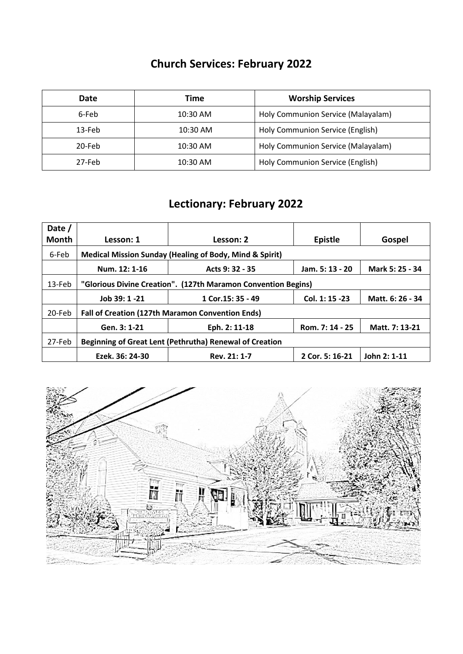# **Church Services: February 2022**

| Date     | Time       | <b>Worship Services</b>            |
|----------|------------|------------------------------------|
| 6-Feb    | 10:30 AM   | Holy Communion Service (Malayalam) |
| $13-Feb$ | $10:30$ AM | Holy Communion Service (English)   |
| 20-Feb   | 10:30 AM   | Holy Communion Service (Malayalam) |
| 27-Feb   | 10:30 AM   | Holy Communion Service (English)   |

# **Lectionary: February 2022**

| Date /       |                                                               |                    |                 |                  |
|--------------|---------------------------------------------------------------|--------------------|-----------------|------------------|
| <b>Month</b> | Lesson: 1                                                     | Lesson: 2          | <b>Epistle</b>  | Gospel           |
| 6-Feb        | Medical Mission Sunday (Healing of Body, Mind & Spirit)       |                    |                 |                  |
|              | Num. 12: 1-16                                                 | Acts 9: 32 - 35    | Jam. 5: 13 - 20 | Mark 5: 25 - 34  |
| 13-Feb       | "Glorious Divine Creation". (127th Maramon Convention Begins) |                    |                 |                  |
|              | Job 39: 1 -21                                                 | 1 Cor. 15: 35 - 49 | Col. 1: 15 -23  | Matt. 6: 26 - 34 |
| 20-Feb       | <b>Fall of Creation (127th Maramon Convention Ends)</b>       |                    |                 |                  |
|              | Gen. 3: 1-21                                                  | Eph. 2: 11-18      | Rom. 7: 14 - 25 | Matt. 7: 13-21   |
| 27-Feb       | Beginning of Great Lent (Pethrutha) Renewal of Creation       |                    |                 |                  |
|              | Ezek. 36: 24-30                                               | Rev. 21: 1-7       | 2 Cor. 5: 16-21 | John 2: 1-11     |